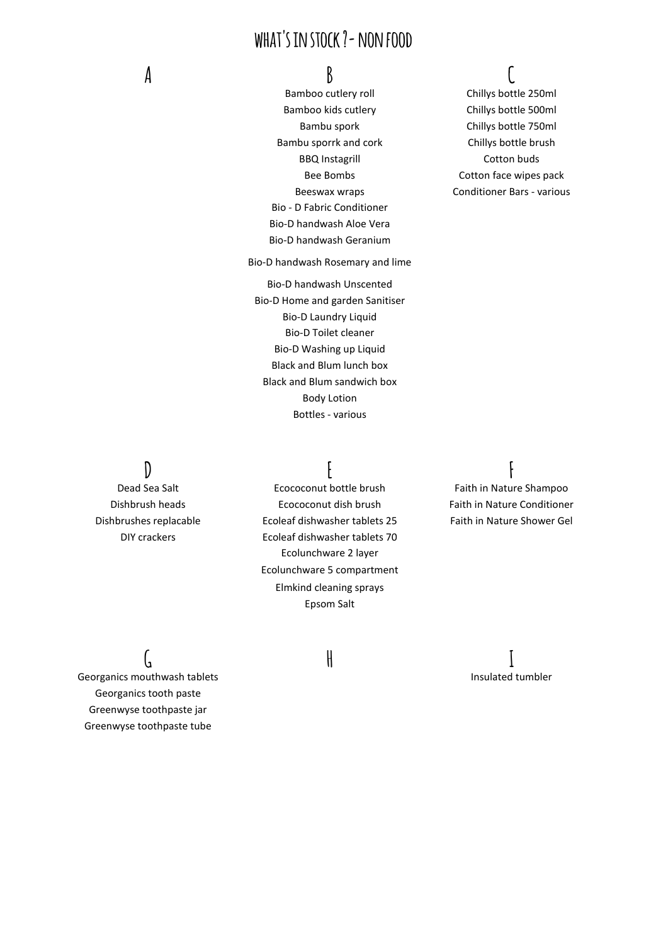## **what's in stock ?- non food**

Bamboo kids cutlery Chillys bottle 500ml Bambu sporrk and cork Chillys bottle brush BBQ Instagrill Cotton buds Bio - D Fabric Conditioner Bio-D handwash Aloe Vera Bio-D handwash Geranium

Bio-D handwash Rosemary and lime

Bio-D handwash Unscented Bio-D Home and garden Sanitiser Bio-D Laundry Liquid Bio-D Toilet cleaner Bio-D Washing up Liquid Black and Blum lunch box Black and Blum sandwich box Body Lotion Bottles - various

## **A B C**

Bamboo cutlery roll Chillys bottle 250ml Bambu spork Chillys bottle 750ml Bee Bombs Cotton face wipes pack Beeswax wraps Conditioner Bars - various

## **D E F**

Dead Sea Salt Ecococonut bottle brush Faith in Nature Shampoo Dishbrush heads Ecococonut dish brush Faith in Nature Conditioner Dishbrushes replacable Ecoleaf dishwasher tablets 25 Faith in Nature Shower Gel DIY crackers Ecoleaf dishwasher tablets 70 Ecolunchware 2 layer Ecolunchware 5 compartment Elmkind cleaning sprays Epsom Salt

Georganics mouthwash tablets **Insulated tumbler** Insulated tumbler Georganics tooth paste Greenwyse toothpaste jar Greenwyse toothpaste tube

# **G H I**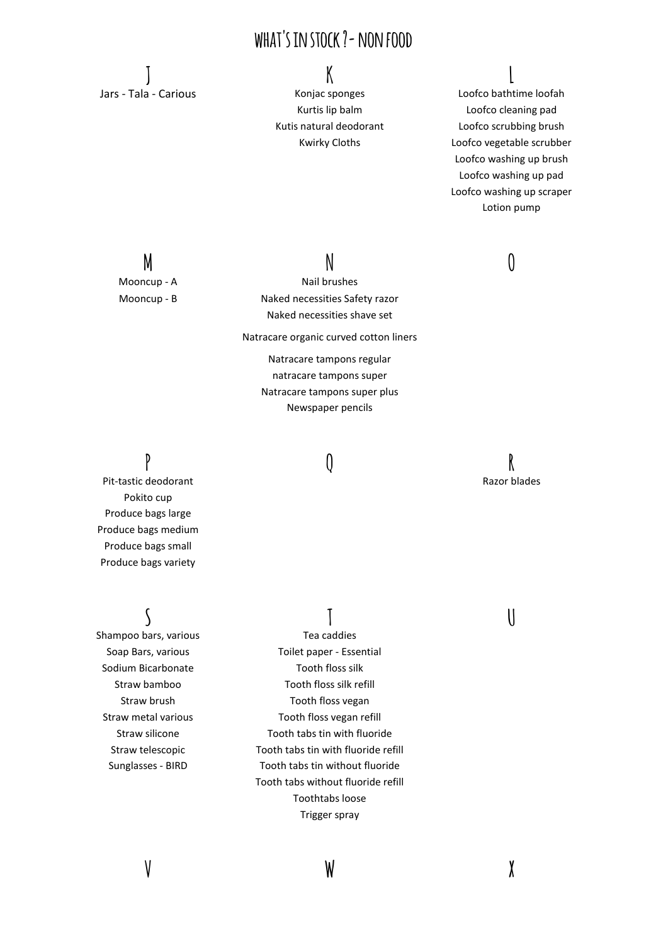## **what's in stock ?- non food**

**J K L** Jars - Tala - Carious **Konjac sponges** Loofco bathtime loofah

Kurtis lip balm Loofco cleaning pad Kutis natural deodorant Loofco scrubbing brush Kwirky Cloths Loofco vegetable scrubber Loofco washing up brush Loofco washing up pad Loofco washing up scraper Lotion pump

**M N O** Mooncup - A Nail brushes Mooncup - B Naked necessities Safety razor Naked necessities shave set

Natracare organic curved cotton liners

Natracare tampons regular natracare tampons super Natracare tampons super plus Newspaper pencils

**P Q R** Pit-tastic deodorant and a state of the control of the control of the control of the control of the control of the control of the control of the control of the control of the control of the control of the control of the co Pokito cup Produce bags large Produce bags medium Produce bags small Produce bags variety

Shampoo bars, various Tea caddies Sodium Bicarbonate Tooth floss silk

**S T U** Soap Bars, various Toilet paper - Essential Straw bamboo Tooth floss silk refill Straw brush Tooth floss vegan Straw metal various Tooth floss vegan refill Straw silicone Tooth tabs tin with fluoride Straw telescopic Tooth tabs tin with fluoride refill Sunglasses - BIRD Tooth tabs tin without fluoride Tooth tabs without fluoride refill Toothtabs loose Trigger spray

**V W X**